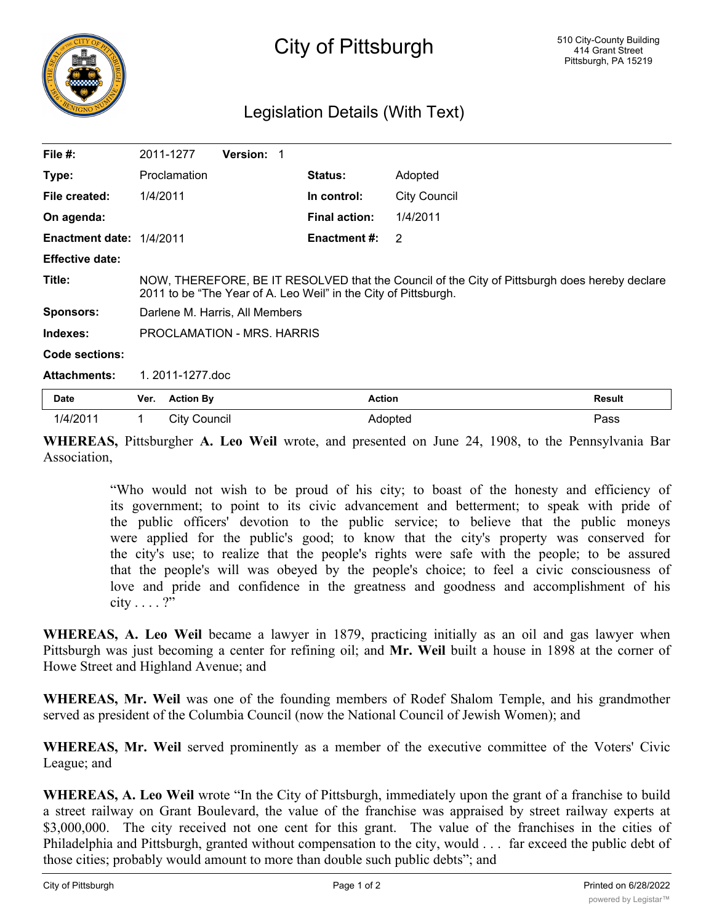

## Legislation Details (With Text)

| File $#$ :               |                                                                                                                                                                  | 2011-1277           | <b>Version:</b> |  |                      |                     |               |
|--------------------------|------------------------------------------------------------------------------------------------------------------------------------------------------------------|---------------------|-----------------|--|----------------------|---------------------|---------------|
| Type:                    |                                                                                                                                                                  | Proclamation        |                 |  | <b>Status:</b>       | Adopted             |               |
| File created:            | 1/4/2011                                                                                                                                                         |                     |                 |  | In control:          | <b>City Council</b> |               |
| On agenda:               |                                                                                                                                                                  |                     |                 |  | <b>Final action:</b> | 1/4/2011            |               |
| Enactment date: 1/4/2011 |                                                                                                                                                                  |                     |                 |  | <b>Enactment #:</b>  | 2                   |               |
| <b>Effective date:</b>   |                                                                                                                                                                  |                     |                 |  |                      |                     |               |
| Title:                   | NOW, THEREFORE, BE IT RESOLVED that the Council of the City of Pittsburgh does hereby declare<br>2011 to be "The Year of A. Leo Weil" in the City of Pittsburgh. |                     |                 |  |                      |                     |               |
| <b>Sponsors:</b>         | Darlene M. Harris, All Members                                                                                                                                   |                     |                 |  |                      |                     |               |
| Indexes:                 | PROCLAMATION - MRS. HARRIS                                                                                                                                       |                     |                 |  |                      |                     |               |
| Code sections:           |                                                                                                                                                                  |                     |                 |  |                      |                     |               |
| <b>Attachments:</b>      | 1.2011-1277.doc                                                                                                                                                  |                     |                 |  |                      |                     |               |
| Date                     | Ver.                                                                                                                                                             | <b>Action By</b>    |                 |  | <b>Action</b>        |                     | <b>Result</b> |
| 1/4/2011                 | 1                                                                                                                                                                | <b>City Council</b> |                 |  |                      | Adopted             | Pass          |

**WHEREAS,** Pittsburgher **A. Leo Weil** wrote, and presented on June 24, 1908, to the Pennsylvania Bar Association,

> "Who would not wish to be proud of his city; to boast of the honesty and efficiency of its government; to point to its civic advancement and betterment; to speak with pride of the public officers' devotion to the public service; to believe that the public moneys were applied for the public's good; to know that the city's property was conserved for the city's use; to realize that the people's rights were safe with the people; to be assured that the people's will was obeyed by the people's choice; to feel a civic consciousness of love and pride and confidence in the greatness and goodness and accomplishment of his city . . . . ?"

**WHEREAS, A. Leo Weil** became a lawyer in 1879, practicing initially as an oil and gas lawyer when Pittsburgh was just becoming a center for refining oil; and **Mr. Weil** built a house in 1898 at the corner of Howe Street and Highland Avenue; and

**WHEREAS, Mr. Weil** was one of the founding members of Rodef Shalom Temple, and his grandmother served as president of the Columbia Council (now the National Council of Jewish Women); and

**WHEREAS, Mr. Weil** served prominently as a member of the executive committee of the Voters' Civic League; and

**WHEREAS, A. Leo Weil** wrote "In the City of Pittsburgh, immediately upon the grant of a franchise to build a street railway on Grant Boulevard, the value of the franchise was appraised by street railway experts at \$3,000,000. The city received not one cent for this grant. The value of the franchises in the cities of Philadelphia and Pittsburgh, granted without compensation to the city, would . . . far exceed the public debt of those cities; probably would amount to more than double such public debts"; and